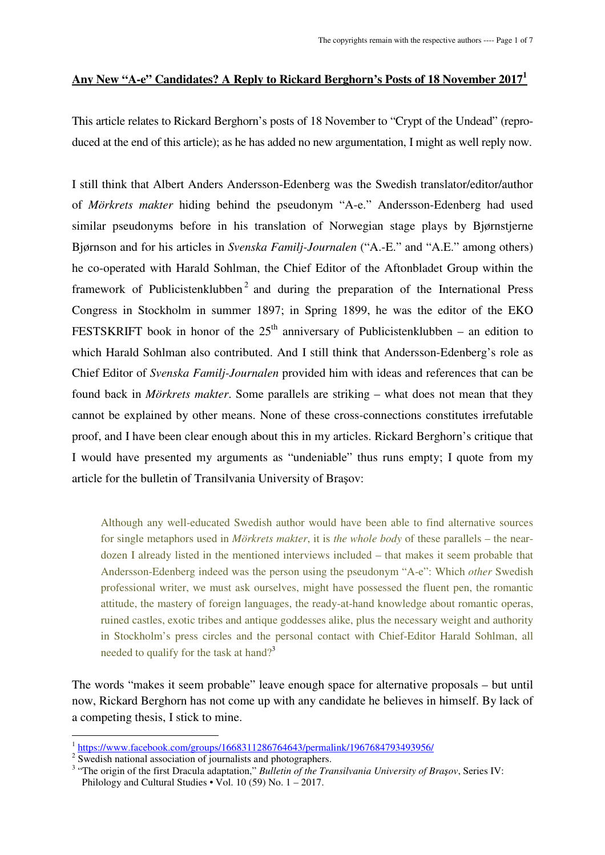## **Any New "A-e" Candidates? A Reply to Rickard Berghorn's Posts of 18 November 2017<sup>1</sup>**

This article relates to Rickard Berghorn's posts of 18 November to "Crypt of the Undead" (reproduced at the end of this article); as he has added no new argumentation, I might as well reply now.

I still think that Albert Anders Andersson-Edenberg was the Swedish translator/editor/author of *Mörkrets makter* hiding behind the pseudonym "A-e." Andersson-Edenberg had used similar pseudonyms before in his translation of Norwegian stage plays by Bjørnstjerne Bjørnson and for his articles in *Svenska Familj-Journalen* ("A.-E." and "A.E." among others) he co-operated with Harald Sohlman, the Chief Editor of the Aftonbladet Group within the framework of Publicistenklubben<sup>2</sup> and during the preparation of the International Press Congress in Stockholm in summer 1897; in Spring 1899, he was the editor of the EKO FESTSKRIFT book in honor of the  $25<sup>th</sup>$  anniversary of Publicistenklubben – an edition to which Harald Sohlman also contributed. And I still think that Andersson-Edenberg's role as Chief Editor of *Svenska Familj-Journalen* provided him with ideas and references that can be found back in *Mörkrets makter*. Some parallels are striking – what does not mean that they cannot be explained by other means. None of these cross-connections constitutes irrefutable proof, and I have been clear enough about this in my articles. Rickard Berghorn's critique that I would have presented my arguments as "undeniable" thus runs empty; I quote from my article for the bulletin of Transilvania University of Brasov:

Although any well-educated Swedish author would have been able to find alternative sources for single metaphors used in *Mörkrets makter*, it is *the whole body* of these parallels – the neardozen I already listed in the mentioned interviews included – that makes it seem probable that Andersson-Edenberg indeed was the person using the pseudonym "A-e": Which *other* Swedish professional writer, we must ask ourselves, might have possessed the fluent pen, the romantic attitude, the mastery of foreign languages, the ready-at-hand knowledge about romantic operas, ruined castles, exotic tribes and antique goddesses alike, plus the necessary weight and authority in Stockholm's press circles and the personal contact with Chief-Editor Harald Sohlman, all needed to qualify for the task at hand?<sup>3</sup>

The words "makes it seem probable" leave enough space for alternative proposals – but until now, Rickard Berghorn has not come up with any candidate he believes in himself. By lack of a competing thesis, I stick to mine.

 1 https://www.facebook.com/groups/1668311286764643/permalink/1967684793493956/

<sup>&</sup>lt;sup>2</sup> Swedish national association of journalists and photographers.

<sup>&</sup>lt;sup>3</sup> "The origin of the first Dracula adaptation," Bulletin of the Transilvania University of Brașov, Series IV: Philology and Cultural Studies  $\cdot$  Vol. 10 (59) No. 1 – 2017.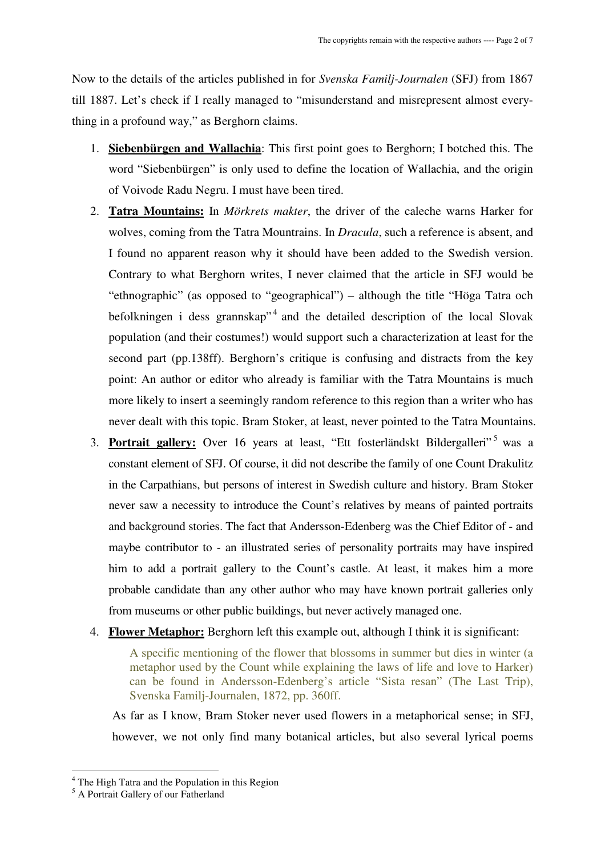Now to the details of the articles published in for *Svenska Familj-Journalen* (SFJ) from 1867 till 1887. Let's check if I really managed to "misunderstand and misrepresent almost everything in a profound way," as Berghorn claims.

- 1. **Siebenbürgen and Wallachia**: This first point goes to Berghorn; I botched this. The word "Siebenbürgen" is only used to define the location of Wallachia, and the origin of Voivode Radu Negru. I must have been tired.
- 2. **Tatra Mountains:** In *Mörkrets makter*, the driver of the caleche warns Harker for wolves, coming from the Tatra Mountrains. In *Dracula*, such a reference is absent, and I found no apparent reason why it should have been added to the Swedish version. Contrary to what Berghorn writes, I never claimed that the article in SFJ would be "ethnographic" (as opposed to "geographical") – although the title "Höga Tatra och befolkningen i dess grannskap<sup>34</sup> and the detailed description of the local Slovak population (and their costumes!) would support such a characterization at least for the second part (pp.138ff). Berghorn's critique is confusing and distracts from the key point: An author or editor who already is familiar with the Tatra Mountains is much more likely to insert a seemingly random reference to this region than a writer who has never dealt with this topic. Bram Stoker, at least, never pointed to the Tatra Mountains.
- 3. Portrait gallery: Over 16 years at least, "Ett fosterländskt Bildergalleri"<sup>5</sup> was a constant element of SFJ. Of course, it did not describe the family of one Count Drakulitz in the Carpathians, but persons of interest in Swedish culture and history. Bram Stoker never saw a necessity to introduce the Count's relatives by means of painted portraits and background stories. The fact that Andersson-Edenberg was the Chief Editor of - and maybe contributor to - an illustrated series of personality portraits may have inspired him to add a portrait gallery to the Count's castle. At least, it makes him a more probable candidate than any other author who may have known portrait galleries only from museums or other public buildings, but never actively managed one.
- 4. **Flower Metaphor:** Berghorn left this example out, although I think it is significant:

A specific mentioning of the flower that blossoms in summer but dies in winter (a metaphor used by the Count while explaining the laws of life and love to Harker) can be found in Andersson-Edenberg's article "Sista resan" (The Last Trip), Svenska Familj-Journalen, 1872, pp. 360ff.

As far as I know, Bram Stoker never used flowers in a metaphorical sense; in SFJ, however, we not only find many botanical articles, but also several lyrical poems

 $\overline{a}$ 

<sup>&</sup>lt;sup>4</sup> The High Tatra and the Population in this Region

<sup>5</sup> A Portrait Gallery of our Fatherland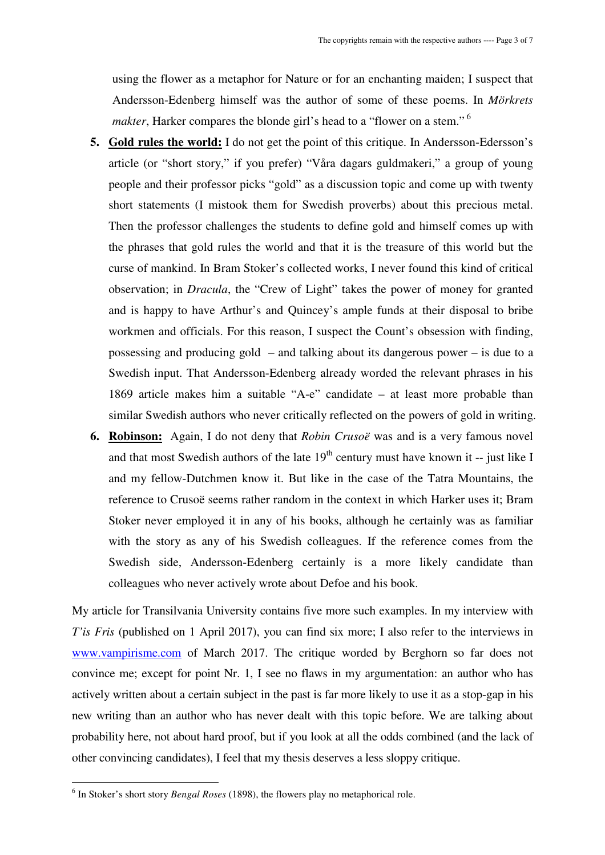using the flower as a metaphor for Nature or for an enchanting maiden; I suspect that Andersson-Edenberg himself was the author of some of these poems. In *Mörkrets makter*, Harker compares the blonde girl's head to a "flower on a stem."<sup>6</sup>

- **5. Gold rules the world:** I do not get the point of this critique. In Andersson-Edersson's article (or "short story," if you prefer) "Våra dagars guldmakeri," a group of young people and their professor picks "gold" as a discussion topic and come up with twenty short statements (I mistook them for Swedish proverbs) about this precious metal. Then the professor challenges the students to define gold and himself comes up with the phrases that gold rules the world and that it is the treasure of this world but the curse of mankind. In Bram Stoker's collected works, I never found this kind of critical observation; in *Dracula*, the "Crew of Light" takes the power of money for granted and is happy to have Arthur's and Quincey's ample funds at their disposal to bribe workmen and officials. For this reason, I suspect the Count's obsession with finding, possessing and producing gold – and talking about its dangerous power – is due to a Swedish input. That Andersson-Edenberg already worded the relevant phrases in his 1869 article makes him a suitable "A-e" candidate – at least more probable than similar Swedish authors who never critically reflected on the powers of gold in writing.
- **6. Robinson:** Again, I do not deny that *Robin Crusoë* was and is a very famous novel and that most Swedish authors of the late  $19<sup>th</sup>$  century must have known it -- just like I and my fellow-Dutchmen know it. But like in the case of the Tatra Mountains, the reference to Crusoë seems rather random in the context in which Harker uses it; Bram Stoker never employed it in any of his books, although he certainly was as familiar with the story as any of his Swedish colleagues. If the reference comes from the Swedish side, Andersson-Edenberg certainly is a more likely candidate than colleagues who never actively wrote about Defoe and his book.

My article for Transilvania University contains five more such examples. In my interview with *T*'is Fris (published on 1 April 2017), you can find six more; I also refer to the interviews in www.vampirisme.com of March 2017. The critique worded by Berghorn so far does not convince me; except for point Nr. 1, I see no flaws in my argumentation: an author who has actively written about a certain subject in the past is far more likely to use it as a stop-gap in his new writing than an author who has never dealt with this topic before. We are talking about probability here, not about hard proof, but if you look at all the odds combined (and the lack of other convincing candidates), I feel that my thesis deserves a less sloppy critique.

 $\overline{a}$ 

<sup>6</sup> In Stoker's short story *Bengal Roses* (1898), the flowers play no metaphorical role.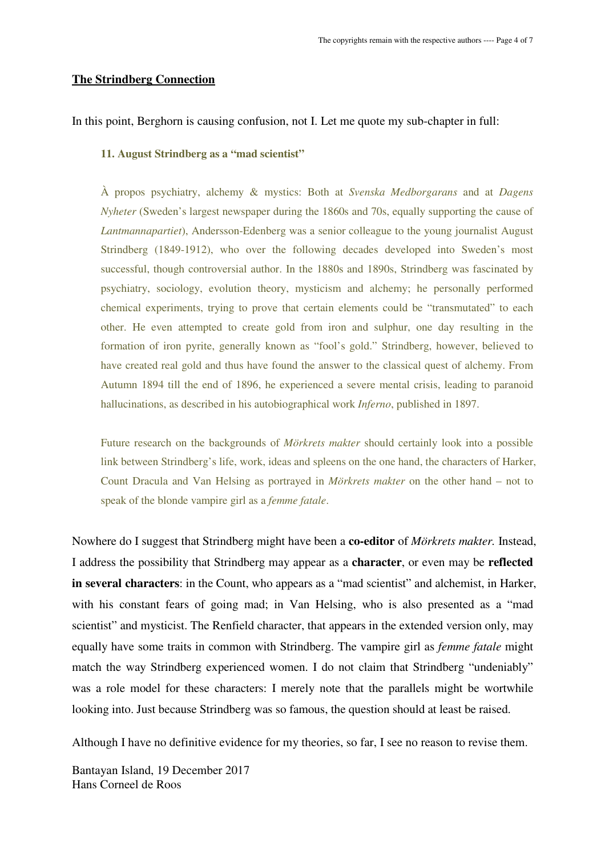### **The Strindberg Connection**

In this point, Berghorn is causing confusion, not I. Let me quote my sub-chapter in full:

#### **11. August Strindberg as a "mad scientist"**

À propos psychiatry, alchemy & mystics: Both at *Svenska Medborgarans* and at *Dagens Nyheter* (Sweden's largest newspaper during the 1860s and 70s, equally supporting the cause of *Lantmannapartiet*), Andersson-Edenberg was a senior colleague to the young journalist August Strindberg (1849-1912), who over the following decades developed into Sweden's most successful, though controversial author. In the 1880s and 1890s, Strindberg was fascinated by psychiatry, sociology, evolution theory, mysticism and alchemy; he personally performed chemical experiments, trying to prove that certain elements could be "transmutated" to each other. He even attempted to create gold from iron and sulphur, one day resulting in the formation of iron pyrite, generally known as "fool's gold." Strindberg, however, believed to have created real gold and thus have found the answer to the classical quest of alchemy. From Autumn 1894 till the end of 1896, he experienced a severe mental crisis, leading to paranoid hallucinations, as described in his autobiographical work *Inferno*, published in 1897.

Future research on the backgrounds of *Mörkrets makter* should certainly look into a possible link between Strindberg's life, work, ideas and spleens on the one hand, the characters of Harker, Count Dracula and Van Helsing as portrayed in *Mörkrets makter* on the other hand – not to speak of the blonde vampire girl as a *femme fatale*.

Nowhere do I suggest that Strindberg might have been a **co-editor** of *Mörkrets makter.* Instead, I address the possibility that Strindberg may appear as a **character**, or even may be **reflected in several characters**: in the Count, who appears as a "mad scientist" and alchemist, in Harker, with his constant fears of going mad; in Van Helsing, who is also presented as a "mad scientist" and mysticist. The Renfield character, that appears in the extended version only, may equally have some traits in common with Strindberg. The vampire girl as *femme fatale* might match the way Strindberg experienced women. I do not claim that Strindberg "undeniably" was a role model for these characters: I merely note that the parallels might be wortwhile looking into. Just because Strindberg was so famous, the question should at least be raised.

Although I have no definitive evidence for my theories, so far, I see no reason to revise them.

Bantayan Island, 19 December 2017 Hans Corneel de Roos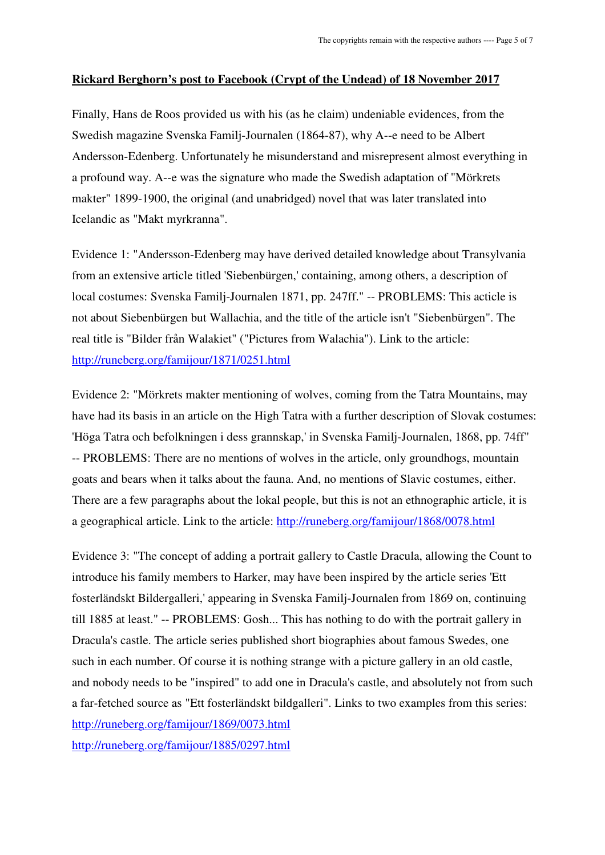# **Rickard Berghorn's post to Facebook (Crypt of the Undead) of 18 November 2017**

Finally, Hans de Roos provided us with his (as he claim) undeniable evidences, from the Swedish magazine Svenska Familj-Journalen (1864-87), why A--e need to be Albert Andersson-Edenberg. Unfortunately he misunderstand and misrepresent almost everything in a profound way. A--e was the signature who made the Swedish adaptation of "Mörkrets makter" 1899-1900, the original (and unabridged) novel that was later translated into Icelandic as "Makt myrkranna".

Evidence 1: "Andersson-Edenberg may have derived detailed knowledge about Transylvania from an extensive article titled 'Siebenbürgen,' containing, among others, a description of local costumes: Svenska Familj-Journalen 1871, pp. 247ff." -- PROBLEMS: This acticle is not about Siebenbürgen but Wallachia, and the title of the article isn't "Siebenbürgen". The real title is "Bilder från Walakiet" ("Pictures from Walachia"). Link to the article: http://runeberg.org/famijour/1871/0251.html

Evidence 2: "Mörkrets makter mentioning of wolves, coming from the Tatra Mountains, may have had its basis in an article on the High Tatra with a further description of Slovak costumes: 'Höga Tatra och befolkningen i dess grannskap,' in Svenska Familj-Journalen, 1868, pp. 74ff" -- PROBLEMS: There are no mentions of wolves in the article, only groundhogs, mountain goats and bears when it talks about the fauna. And, no mentions of Slavic costumes, either. There are a few paragraphs about the lokal people, but this is not an ethnographic article, it is a geographical article. Link to the article: http://runeberg.org/famijour/1868/0078.html

Evidence 3: "The concept of adding a portrait gallery to Castle Dracula, allowing the Count to introduce his family members to Harker, may have been inspired by the article series 'Ett fosterländskt Bildergalleri,' appearing in Svenska Familj-Journalen from 1869 on, continuing till 1885 at least." -- PROBLEMS: Gosh... This has nothing to do with the portrait gallery in Dracula's castle. The article series published short biographies about famous Swedes, one such in each number. Of course it is nothing strange with a picture gallery in an old castle, and nobody needs to be "inspired" to add one in Dracula's castle, and absolutely not from such a far-fetched source as "Ett fosterländskt bildgalleri". Links to two examples from this series: http://runeberg.org/famijour/1869/0073.html http://runeberg.org/famijour/1885/0297.html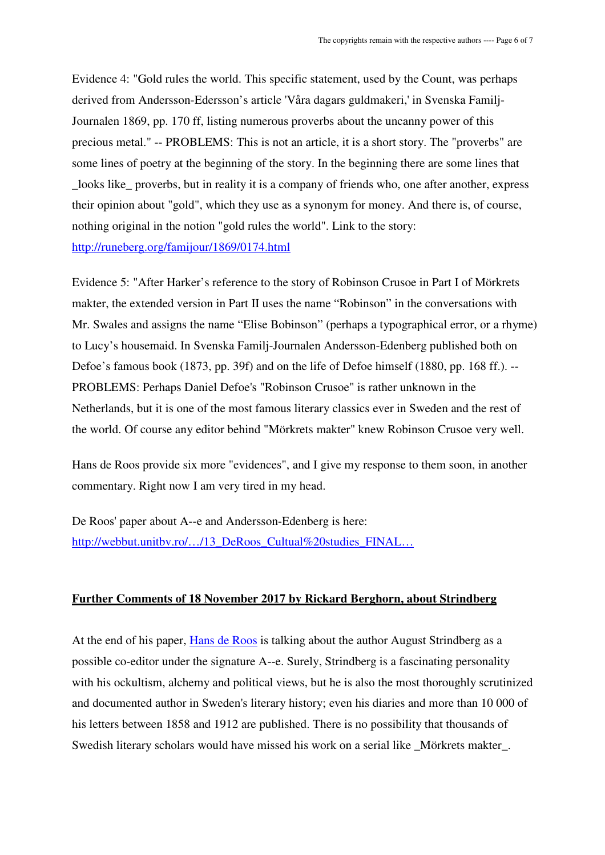Evidence 4: "Gold rules the world. This specific statement, used by the Count, was perhaps derived from Andersson-Edersson's article 'Våra dagars guldmakeri,' in Svenska Familj-Journalen 1869, pp. 170 ff, listing numerous proverbs about the uncanny power of this precious metal." -- PROBLEMS: This is not an article, it is a short story. The "proverbs" are some lines of poetry at the beginning of the story. In the beginning there are some lines that \_looks like\_ proverbs, but in reality it is a company of friends who, one after another, express their opinion about "gold", which they use as a synonym for money. And there is, of course, nothing original in the notion "gold rules the world". Link to the story: http://runeberg.org/famijour/1869/0174.html

Evidence 5: "After Harker's reference to the story of Robinson Crusoe in Part I of Mörkrets makter, the extended version in Part II uses the name "Robinson" in the conversations with Mr. Swales and assigns the name "Elise Bobinson" (perhaps a typographical error, or a rhyme) to Lucy's housemaid. In Svenska Familj-Journalen Andersson-Edenberg published both on Defoe's famous book (1873, pp. 39f) and on the life of Defoe himself (1880, pp. 168 ff.). -- PROBLEMS: Perhaps Daniel Defoe's "Robinson Crusoe" is rather unknown in the Netherlands, but it is one of the most famous literary classics ever in Sweden and the rest of the world. Of course any editor behind "Mörkrets makter" knew Robinson Crusoe very well.

Hans de Roos provide six more "evidences", and I give my response to them soon, in another commentary. Right now I am very tired in my head.

De Roos' paper about A--e and Andersson-Edenberg is here: http://webbut.unitbv.ro/.../13\_DeRoos\_Cultual%20studies\_FINAL...

#### **Further Comments of 18 November 2017 by Rickard Berghorn, about Strindberg**

At the end of his paper, Hans de Roos is talking about the author August Strindberg as a possible co-editor under the signature A--e. Surely, Strindberg is a fascinating personality with his ockultism, alchemy and political views, but he is also the most thoroughly scrutinized and documented author in Sweden's literary history; even his diaries and more than 10 000 of his letters between 1858 and 1912 are published. There is no possibility that thousands of Swedish literary scholars would have missed his work on a serial like Mörkrets makter.